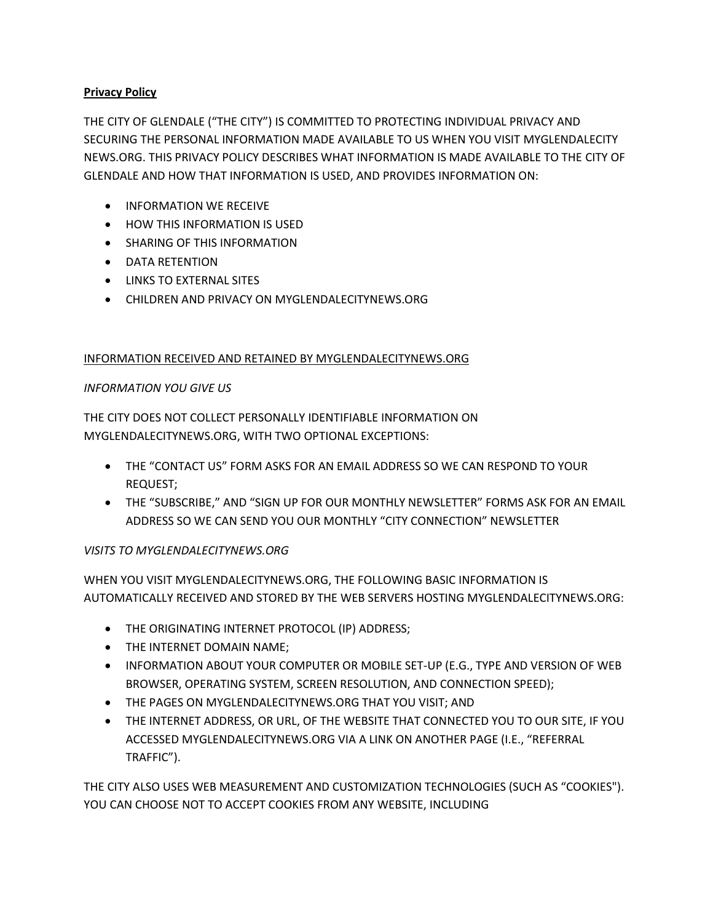### **Privacy Policy**

THE CITY OF GLENDALE ("THE CITY") IS COMMITTED TO PROTECTING INDIVIDUAL PRIVACY AND SECURING THE PERSONAL INFORMATION MADE AVAILABLE TO US WHEN YOU VISIT MYGLENDALECITY NEWS.ORG. THIS PRIVACY POLICY DESCRIBES WHAT INFORMATION IS MADE AVAILABLE TO THE CITY OF GLENDALE AND HOW THAT INFORMATION IS USED, AND PROVIDES INFORMATION ON:

- **INFORMATION WE RECEIVE**
- HOW THIS INFORMATION IS USED
- **•** SHARING OF THIS INFORMATION
- DATA RETENTION
- **LINKS TO EXTERNAL SITES**
- CHILDREN AND PRIVACY ON MYGLENDALECITYNEWS.ORG

## INFORMATION RECEIVED AND RETAINED BY MYGLENDALECITYNEWS.ORG

## *INFORMATION YOU GIVE US*

THE CITY DOES NOT COLLECT PERSONALLY IDENTIFIABLE INFORMATION ON MYGLENDALECITYNEWS.ORG, WITH TWO OPTIONAL EXCEPTIONS:

- THE "CONTACT US" FORM ASKS FOR AN EMAIL ADDRESS SO WE CAN RESPOND TO YOUR REQUEST;
- THE "SUBSCRIBE," AND "SIGN UP FOR OUR MONTHLY NEWSLETTER" FORMS ASK FOR AN EMAIL ADDRESS SO WE CAN SEND YOU OUR MONTHLY "CITY CONNECTION" NEWSLETTER

# *VISITS TO MYGLENDALECITYNEWS.ORG*

WHEN YOU VISIT MYGLENDALECITYNEWS.ORG, THE FOLLOWING BASIC INFORMATION IS AUTOMATICALLY RECEIVED AND STORED BY THE WEB SERVERS HOSTING MYGLENDALECITYNEWS.ORG:

- THE ORIGINATING INTERNET PROTOCOL (IP) ADDRESS;
- **THE INTERNET DOMAIN NAME;**
- INFORMATION ABOUT YOUR COMPUTER OR MOBILE SET-UP (E.G., TYPE AND VERSION OF WEB BROWSER, OPERATING SYSTEM, SCREEN RESOLUTION, AND CONNECTION SPEED);
- THE PAGES ON MYGLENDALECITYNEWS.ORG THAT YOU VISIT; AND
- THE INTERNET ADDRESS, OR URL, OF THE WEBSITE THAT CONNECTED YOU TO OUR SITE, IF YOU ACCESSED MYGLENDALECITYNEWS.ORG VIA A LINK ON ANOTHER PAGE (I.E., "REFERRAL TRAFFIC").

THE CITY ALSO USES WEB MEASUREMENT AND CUSTOMIZATION TECHNOLOGIES (SUCH AS "COOKIES"). YOU CAN CHOOSE NOT TO ACCEPT COOKIES FROM ANY WEBSITE, INCLUDING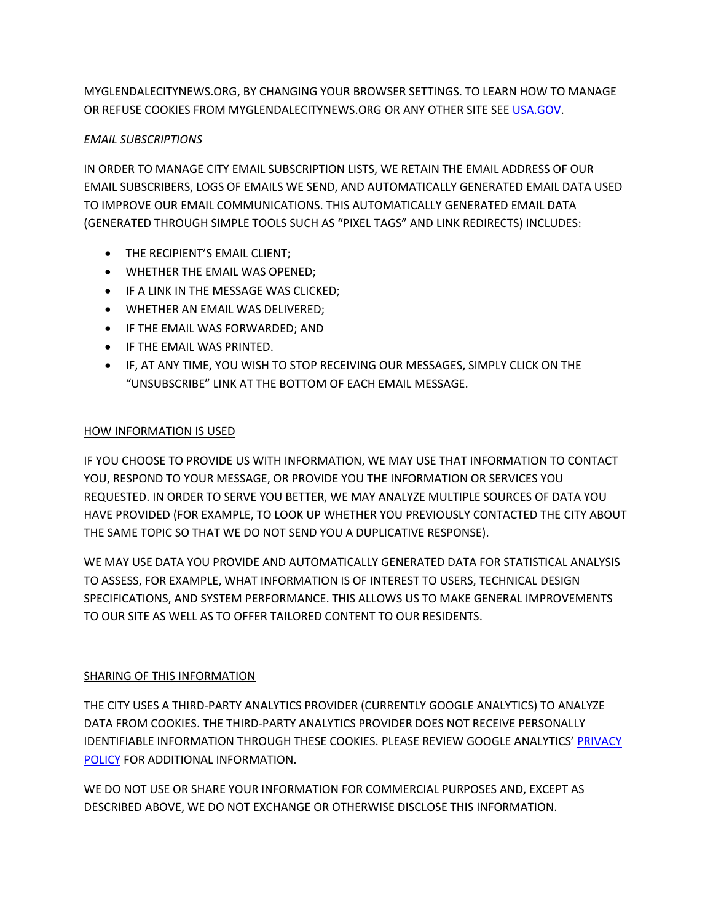MYGLENDALECITYNEWS.ORG, BY CHANGING YOUR BROWSER SETTINGS. TO LEARN HOW TO MANAGE OR REFUSE COOKIES FROM MYGLENDALECITYNEWS.ORG OR ANY OTHER SITE SEE [USA.GOV.](http://www.usa.gov/optout_instructions.shtml)

# *EMAIL SUBSCRIPTIONS*

IN ORDER TO MANAGE CITY EMAIL SUBSCRIPTION LISTS, WE RETAIN THE EMAIL ADDRESS OF OUR EMAIL SUBSCRIBERS, LOGS OF EMAILS WE SEND, AND AUTOMATICALLY GENERATED EMAIL DATA USED TO IMPROVE OUR EMAIL COMMUNICATIONS. THIS AUTOMATICALLY GENERATED EMAIL DATA (GENERATED THROUGH SIMPLE TOOLS SUCH AS "PIXEL TAGS" AND LINK REDIRECTS) INCLUDES:

- THE RECIPIENT'S EMAIL CLIENT;
- WHETHER THE EMAIL WAS OPENED;
- **•** IF A LINK IN THE MESSAGE WAS CLICKED;
- WHETHER AN EMAIL WAS DELIVERED;
- IF THE EMAIL WAS FORWARDED; AND
- **IF THE EMAIL WAS PRINTED.**
- IF, AT ANY TIME, YOU WISH TO STOP RECEIVING OUR MESSAGES, SIMPLY CLICK ON THE "UNSUBSCRIBE" LINK AT THE BOTTOM OF EACH EMAIL MESSAGE.

### HOW INFORMATION IS USED

IF YOU CHOOSE TO PROVIDE US WITH INFORMATION, WE MAY USE THAT INFORMATION TO CONTACT YOU, RESPOND TO YOUR MESSAGE, OR PROVIDE YOU THE INFORMATION OR SERVICES YOU REQUESTED. IN ORDER TO SERVE YOU BETTER, WE MAY ANALYZE MULTIPLE SOURCES OF DATA YOU HAVE PROVIDED (FOR EXAMPLE, TO LOOK UP WHETHER YOU PREVIOUSLY CONTACTED THE CITY ABOUT THE SAME TOPIC SO THAT WE DO NOT SEND YOU A DUPLICATIVE RESPONSE).

WE MAY USE DATA YOU PROVIDE AND AUTOMATICALLY GENERATED DATA FOR STATISTICAL ANALYSIS TO ASSESS, FOR EXAMPLE, WHAT INFORMATION IS OF INTEREST TO USERS, TECHNICAL DESIGN SPECIFICATIONS, AND SYSTEM PERFORMANCE. THIS ALLOWS US TO MAKE GENERAL IMPROVEMENTS TO OUR SITE AS WELL AS TO OFFER TAILORED CONTENT TO OUR RESIDENTS.

### SHARING OF THIS INFORMATION

THE CITY USES A THIRD-PARTY ANALYTICS PROVIDER (CURRENTLY GOOGLE ANALYTICS) TO ANALYZE DATA FROM COOKIES. THE THIRD-PARTY ANALYTICS PROVIDER DOES NOT RECEIVE PERSONALLY IDENTIFIABLE INFORMATION THROUGH THESE COOKIES. PLEASE REVIEW GOOGLE ANALYTICS' [PRIVACY](http://www.google.com/intl/en/analytics/privacyoverview.html)  [POLICY](http://www.google.com/intl/en/analytics/privacyoverview.html) FOR ADDITIONAL INFORMATION.

WE DO NOT USE OR SHARE YOUR INFORMATION FOR COMMERCIAL PURPOSES AND, EXCEPT AS DESCRIBED ABOVE, WE DO NOT EXCHANGE OR OTHERWISE DISCLOSE THIS INFORMATION.